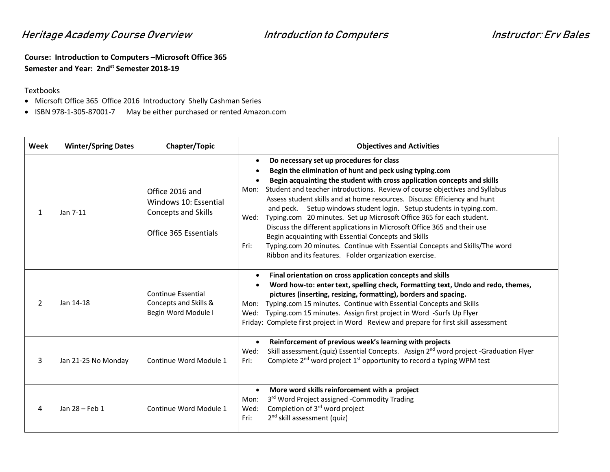## Heritage Academy Course Overview Introduction to Computers France Instructor: Erv Bales

**Course: Introduction to Computers –Microsoft Office 365 Semester and Year: 2ndst Semester 2018-19** 

## Textbooks

- · Micrsoft Office 365 Office 2016 Introductory Shelly Cashman Series
- · ISBN 978-1-305-87001-7 May be either purchased or rented Amazon.com

| Week | <b>Winter/Spring Dates</b> | Chapter/Topic                                                                                   | <b>Objectives and Activities</b>                                                                                                                                                                                                                                                                                                                                                                                                                                                                                                                                                                                                                                                                                                                                                                              |
|------|----------------------------|-------------------------------------------------------------------------------------------------|---------------------------------------------------------------------------------------------------------------------------------------------------------------------------------------------------------------------------------------------------------------------------------------------------------------------------------------------------------------------------------------------------------------------------------------------------------------------------------------------------------------------------------------------------------------------------------------------------------------------------------------------------------------------------------------------------------------------------------------------------------------------------------------------------------------|
| 1    | Jan 7-11                   | Office 2016 and<br>Windows 10: Essential<br><b>Concepts and Skills</b><br>Office 365 Essentials | Do necessary set up procedures for class<br>$\bullet$<br>Begin the elimination of hunt and peck using typing.com<br>Begin acquainting the student with cross application concepts and skills<br>Student and teacher introductions. Review of course objectives and Syllabus<br>Mon:<br>Assess student skills and at home resources. Discuss: Efficiency and hunt<br>and peck. Setup windows student login. Setup students in typing.com.<br>Typing.com 20 minutes. Set up Microsoft Office 365 for each student.<br>Wed:<br>Discuss the different applications in Microsoft Office 365 and their use<br>Begin acquainting with Essential Concepts and Skills<br>Typing.com 20 minutes. Continue with Essential Concepts and Skills/The word<br>Fri:<br>Ribbon and its features. Folder organization exercise. |
| 2    | Jan 14-18                  | <b>Continue Essential</b><br>Concepts and Skills &<br>Begin Word Module I                       | Final orientation on cross application concepts and skills<br>Word how-to: enter text, spelling check, Formatting text, Undo and redo, themes,<br>pictures (inserting, resizing, formatting), borders and spacing.<br>Typing.com 15 minutes. Continue with Essential Concepts and Skills<br>Mon:<br>Typing.com 15 minutes. Assign first project in Word -Surfs Up Flyer<br>Wed:<br>Friday: Complete first project in Word Review and prepare for first skill assessment                                                                                                                                                                                                                                                                                                                                       |
| 3    | Jan 21-25 No Monday        | Continue Word Module 1                                                                          | Reinforcement of previous week's learning with projects<br>$\bullet$<br>Skill assessment.(quiz) Essential Concepts. Assign 2 <sup>nd</sup> word project -Graduation Flyer<br>Wed:<br>Complete 2 <sup>nd</sup> word project 1 <sup>st</sup> opportunity to record a typing WPM test<br>Fri:                                                                                                                                                                                                                                                                                                                                                                                                                                                                                                                    |
| 4    | Jan 28 - Feb 1             | Continue Word Module 1                                                                          | More word skills reinforcement with a project<br>$\bullet$<br>3rd Word Project assigned -Commodity Trading<br>Mon:<br>Completion of 3 <sup>rd</sup> word project<br>Wed:<br>2 <sup>nd</sup> skill assessment (quiz)<br>Fri:                                                                                                                                                                                                                                                                                                                                                                                                                                                                                                                                                                                   |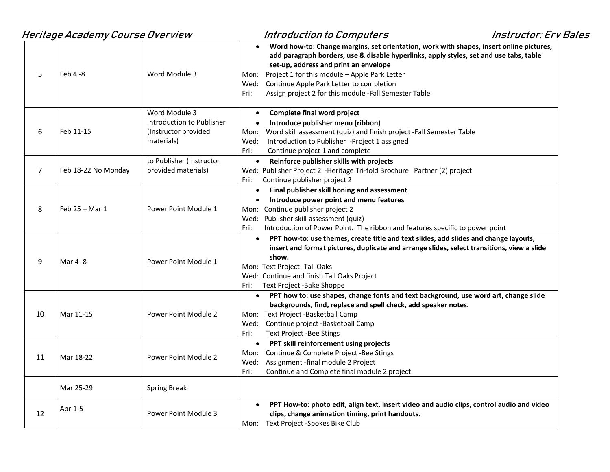|                | Heritage Academy Course Overview |                                                                                  | <b>Introduction to Computers</b><br><b>Instructor: Erv Bales</b>                                                                                                                                                                                                                                                                                                                                                |
|----------------|----------------------------------|----------------------------------------------------------------------------------|-----------------------------------------------------------------------------------------------------------------------------------------------------------------------------------------------------------------------------------------------------------------------------------------------------------------------------------------------------------------------------------------------------------------|
| 5              | Feb 4-8                          | Word Module 3                                                                    | Word how-to: Change margins, set orientation, work with shapes, insert online pictures,<br>$\bullet$<br>add paragraph borders, use & disable hyperlinks, apply styles, set and use tabs, table<br>set-up, address and print an envelope<br>Mon: Project 1 for this module - Apple Park Letter<br>Wed: Continue Apple Park Letter to completion<br>Assign project 2 for this module -Fall Semester Table<br>Fri: |
| 6              | Feb 11-15                        | Word Module 3<br>Introduction to Publisher<br>(Instructor provided<br>materials) | Complete final word project<br>$\bullet$<br>Introduce publisher menu (ribbon)<br>$\bullet$<br>Mon: Word skill assessment (quiz) and finish project -Fall Semester Table<br>Introduction to Publisher -Project 1 assigned<br>Wed:<br>Continue project 1 and complete<br>Fri:                                                                                                                                     |
| $\overline{7}$ | Feb 18-22 No Monday              | to Publisher (Instructor<br>provided materials)                                  | Reinforce publisher skills with projects<br>$\bullet$<br>Wed: Publisher Project 2 -Heritage Tri-fold Brochure Partner (2) project<br>Continue publisher project 2<br>Fri: I                                                                                                                                                                                                                                     |
| 8              | Feb 25 - Mar 1                   | Power Point Module 1                                                             | Final publisher skill honing and assessment<br>$\bullet$<br>Introduce power point and menu features<br>$\bullet$<br>Mon: Continue publisher project 2<br>Wed: Publisher skill assessment (quiz)<br>Introduction of Power Point. The ribbon and features specific to power point<br>Fri:                                                                                                                         |
| 9              | Mar 4-8                          | Power Point Module 1                                                             | PPT how-to: use themes, create title and text slides, add slides and change layouts,<br>$\bullet$<br>insert and format pictures, duplicate and arrange slides, select transitions, view a slide<br>show.<br>Mon: Text Project -Tall Oaks<br>Wed: Continue and finish Tall Oaks Project<br>Text Project -Bake Shoppe<br>Fri:                                                                                     |
| 10             | Mar 11-15                        | Power Point Module 2                                                             | PPT how to: use shapes, change fonts and text background, use word art, change slide<br>$\bullet$<br>backgrounds, find, replace and spell check, add speaker notes.<br>Mon: Text Project -Basketball Camp<br>Wed: Continue project -Basketball Camp<br>Fri:<br>Text Project -Bee Stings                                                                                                                         |
| 11             | Mar 18-22                        | Power Point Module 2                                                             | PPT skill reinforcement using projects<br>$\bullet$<br>Mon: Continue & Complete Project -Bee Stings<br>Wed: Assignment -final module 2 Project<br>Fri:<br>Continue and Complete final module 2 project                                                                                                                                                                                                          |
|                | Mar 25-29                        | <b>Spring Break</b>                                                              |                                                                                                                                                                                                                                                                                                                                                                                                                 |
| 12             | Apr 1-5                          | Power Point Module 3                                                             | PPT How-to: photo edit, align text, insert video and audio clips, control audio and video<br>$\bullet$<br>clips, change animation timing, print handouts.<br>Mon: Text Project -Spokes Bike Club                                                                                                                                                                                                                |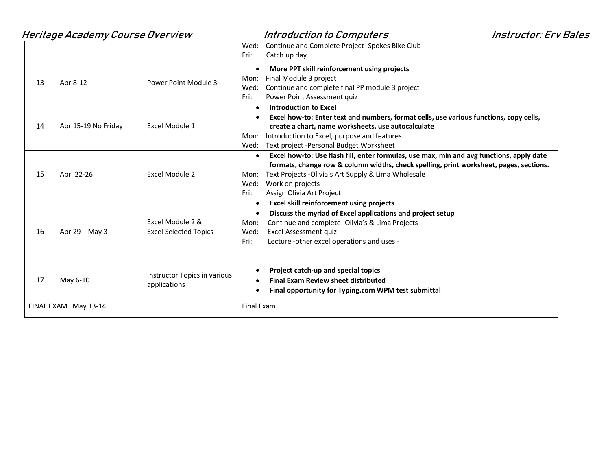|    | Heritage Academy Course Overview |                                                  | <b>Instructor: Erv Bales</b><br>Introduction to Computers                                                                                                                                                                                                                                                                        |  |
|----|----------------------------------|--------------------------------------------------|----------------------------------------------------------------------------------------------------------------------------------------------------------------------------------------------------------------------------------------------------------------------------------------------------------------------------------|--|
|    |                                  |                                                  | Continue and Complete Project -Spokes Bike Club<br>Wed:<br>Fri:<br>Catch up day                                                                                                                                                                                                                                                  |  |
| 13 | Apr 8-12                         | Power Point Module 3                             | More PPT skill reinforcement using projects<br>$\bullet$<br>Final Module 3 project<br>Mon:<br>Continue and complete final PP module 3 project<br>Wed:<br>Power Point Assessment quiz<br>Fri:                                                                                                                                     |  |
| 14 | Apr 15-19 No Friday              | Excel Module 1                                   | <b>Introduction to Excel</b><br>$\bullet$<br>Excel how-to: Enter text and numbers, format cells, use various functions, copy cells,<br>create a chart, name worksheets, use autocalculate<br>Introduction to Excel, purpose and features<br>Mon:<br>Wed: Text project -Personal Budget Worksheet                                 |  |
| 15 | Apr. 22-26                       | Excel Module 2                                   | Excel how-to: Use flash fill, enter formulas, use max, min and avg functions, apply date<br>$\bullet$<br>formats, change row & column widths, check spelling, print worksheet, pages, sections.<br>Text Projects - Olivia's Art Supply & Lima Wholesale<br>Mon:<br>Work on projects<br>Wed:<br>Fri:<br>Assign Olivia Art Project |  |
| 16 | Apr $29 - May 3$                 | Excel Module 2 &<br><b>Excel Selected Topics</b> | <b>Excel skill reinforcement using projects</b><br>$\bullet$<br>Discuss the myriad of Excel applications and project setup<br>Continue and complete -Olivia's & Lima Projects<br>Mon:<br>Excel Assessment quiz<br>Wed:<br>Lecture -other excel operations and uses -<br>Fri:                                                     |  |
| 17 | May 6-10                         | Instructor Topics in various<br>applications     | Project catch-up and special topics<br><b>Final Exam Review sheet distributed</b><br>Final opportunity for Typing.com WPM test submittal                                                                                                                                                                                         |  |
|    | FINAL EXAM May 13-14             |                                                  | <b>Final Exam</b>                                                                                                                                                                                                                                                                                                                |  |